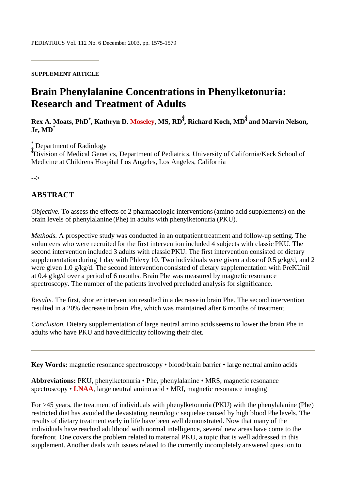#### **SUPPLEMENT ARTICLE**

# **Brain Phenylalanine Concentrations in Phenylketonuria: Research and Treatment of Adults**

 $\mathbf{R}\mathbf{ex}$  A. Moats,  $\mathbf{PhD}^*$ , Kathryn D. Moseley, MS,  $\mathbf{RD}^\mathbf{I}$ , Richard Koch,  $\mathbf{MD}^\mathbf{I}$  and Marvin Nelson, **Jr, MD\***

\* Department of Radiology

Division of Medical Genetics, Department of Pediatrics, University of California/Keck School of Medicine at Childrens Hospital Los Angeles, Los Angeles, California

-->

## **ABSTRACT**

*Objective.* To assess the effects of 2 pharmacologic interventions(amino acid supplements) on the brain levels of phenylalanine (Phe) in adults with phenylketonuria (PKU).

*Methods.* A prospective study was conducted in an outpatient treatment and follow-up setting. The volunteers who were recruited for the first intervention included 4 subjects with classic PKU. The second intervention included 3 adults with classic PKU. The first intervention consisted of dietary supplementation during 1 day with Phlexy 10. Two individuals were given a dose of 0.5 g/kg/d, and 2 were given 1.0 g/kg/d. The second intervention consisted of dietary supplementation with PreKUnil at 0.4 g kg/d over a period of 6 months. Brain Phe was measured by magnetic resonance spectroscopy. The number of the patients involved precluded analysis for significance.

*Results.* The first, shorter intervention resulted in a decrease in brain Phe. The second intervention resulted in a 20% decrease in brain Phe, which was maintained after 6 months of treatment.

*Conclusion.* Dietary supplementation of large neutral amino acids seems to lower the brain Phe in adults who have PKU and have difficulty following their diet.

**Key Words:** magnetic resonance spectroscopy • blood/brain barrier • large neutral amino acids

**Abbreviations:** PKU, phenylketonuria • Phe, phenylalanine • MRS, magnetic resonance spectroscopy • **LNAA**, large neutral amino acid • MRI, magnetic resonance imaging

For >45 years, the treatment of individuals with phenylketonuria (PKU) with the phenylalanine (Phe) restricted diet has avoided the devastating neurologic sequelae caused by high blood Phe levels. The results of dietary treatment early in life have been well demonstrated. Now that many of the individuals have reached adulthood with normal intelligence, several new areas have come to the forefront. One covers the problem related to maternal PKU, a topic that is well addressed in this supplement. Another deals with issues related to the currently incompletely answered question to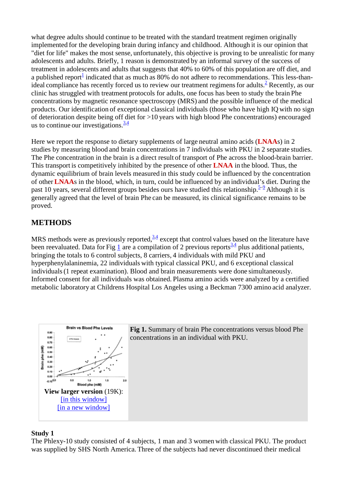what degree adults should continue to be treated with the standard treatment regimen originally implemented for the developing brain during infancy and childhood. Although it is our opinion that "diet for life" makes the most sense, unfortunately, this objective is proving to be unrealistic for many adolescents and adults. Briefly, 1 reason is demonstrated by an informal survey of the success of treatment in adolescents and adults that suggests that 40% to 60% of this population are off diet, and a published report<sup>1</sup> indicated that as much as  $80\%$  do not adhere to recommendations. This less-thanideal compliance has recently forced us to review our treatment regimens for adults.<sup>2</sup> Recently, as our clinic has struggled with treatment protocols for adults, one focus has been to study the brain Phe concentrations by magnetic resonance spectroscopy (MRS) and the possible influence of the medical products. Our identification of exceptional classical individuals (those who have high IQ with no sign of deterioration despite being off diet for >10 years with high blood Phe concentrations) encouraged us to continue our investigations.  $\frac{3.4}{1.4}$ 

Here we report the response to dietary supplements of large neutral amino acids (**LNAA**s) in 2 studies by measuring blood and brain concentrations in 7 individuals with PKU in 2 separate studies. The Phe concentration in the brain is a direct result of transport of Phe across the blood-brain barrier. This transport is competitively inhibited by the presence of other **LNAA** in the blood. Thus, the dynamic equilibrium of brain levels measured in this study could be influenced by the concentration of other **LNAA**s in the blood, which, in turn, could be influenced by an individual's diet. During the past 10 years, several different groups besides ours have studied this relationship.  $5-9$  Although it is generally agreed that the level of brain Phe can be measured, its clinical significance remains to be proved.

# **METHODS**

MRS methods were as previously reported, $3.4$  except that control values based on the literature have been reevaluated. Data for Fig  $\frac{1}{2}$  are a compilation of 2 previous reports<sup>3,4</sup> plus additional patients, bringing the totals to 6 control subjects, 8 carriers, 4 individuals with mild PKU and hyperphenylalaninemia, 22 individuals with typical classical PKU, and 6 exceptional classical individuals(1 repeat examination). Blood and brain measurements were done simultaneously. Informed consent for all individuals was obtained. Plasma amino acids were analyzed by a certified metabolic laboratory at Childrens Hospital Los Angeles using a Beckman 7300 amino acid analyzer.



**Fig 1.** Summary of brain Phe concentrations versus blood Phe concentrations in an individual with PKU.

#### **Study 1**

The Phlexy-10 study consisted of 4 subjects, 1 man and 3 women with classical PKU. The product was supplied by SHS North America. Three of the subjects had never discontinued their medical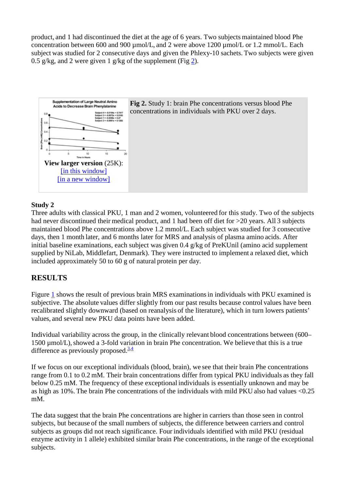product, and 1 had discontinued the diet at the age of 6 years. Two subjects maintained blood Phe concentration between 600 and 900 µmol/L, and 2 were above 1200 µmol/L or 1.2 mmol/L. Each subject was studied for 2 consecutive days and given the Phlexy-10 sachets. Two subjects were given 0.5 g/kg, and 2 were given 1 g/kg of the supplement (Fig 2).





## **Study 2**

Three adults with classical PKU, 1 man and 2 women, volunteered for this study. Two of the subjects had never discontinued their medical product, and 1 had been off diet for  $>20$  years. All 3 subjects maintained blood Phe concentrations above 1.2 mmol/L. Each subject was studied for 3 consecutive days, then 1 month later, and 6 months later for MRS and analysis of plasma amino acids. After initial baseline examinations, each subject was given 0.4 g/kg of PreKUnil (amino acid supplement supplied by NiLab, Middlefart, Denmark). They were instructed to implement a relaxed diet, which included approximately 50 to 60 g of natural protein per day.

## **RESULTS**

Figure 1 shows the result of previous brain MRS examinationsin individuals with PKU examined is subjective. The absolute values differ slightly from our past results because control values have been recalibrated slightly downward (based on reanalysis of the literature), which in turn lowers patients' values, and several new PKU data points have been added.

Individual variability across the group, in the clinically relevant blood concentrations between (600– 1500 µmol/L), showed a 3-fold variation in brain Phe concentration. We believe that this is a true difference as previously proposed. $3,4$ 

If we focus on our exceptional individuals (blood, brain), we see that their brain Phe concentrations range from 0.1 to 0.2 mM. Their brain concentrations differ from typical PKU individuals as they fall below 0.25 mM. The frequency of these exceptional individuals is essentially unknown and may be as high as 10%. The brain Phe concentrations of the individuals with mild PKU also had values <0.25 mM.

The data suggest that the brain Phe concentrations are higher in carriers than those seen in control subjects, but because of the small numbers of subjects, the difference between carriers and control subjects as groups did not reach significance. Four individuals identified with mild PKU (residual enzyme activity in 1 allele) exhibited similar brain Phe concentrations, in the range of the exceptional subjects.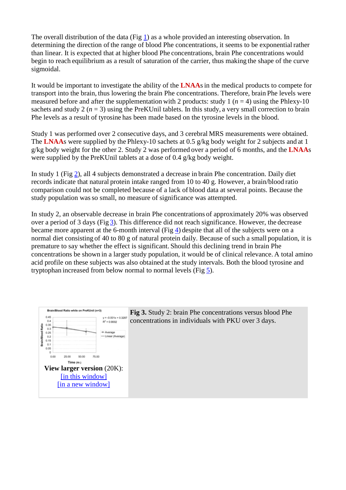The overall distribution of the data (Fig 1) as a whole provided an interesting observation. In determining the direction of the range of blood Phe concentrations, it seems to be exponential rather than linear. It is expected that at higher blood Phe concentrations, brain Phe concentrations would begin to reach equilibrium as a result of saturation of the carrier, thus making the shape of the curve sigmoidal.

It would be important to investigate the ability of the **LNAA**sin the medical products to compete for transport into the brain, thus lowering the brain Phe concentrations. Therefore, brain Phe levels were measured before and after the supplementation with 2 products: study 1 ( $n = 4$ ) using the Phlexy-10 sachets and study 2  $(n = 3)$  using the PreKUnil tablets. In this study, a very small correction to brain Phe levels as a result of tyrosine has been made based on the tyrosine levels in the blood.

Study 1 was performed over 2 consecutive days, and 3 cerebral MRS measurements were obtained. The **LNAA**s were supplied by the Phlexy-10 sachets at 0.5 g/kg body weight for 2 subjects and at 1 g/kg body weight for the other 2. Study 2 was performed over a period of 6 months, and the **LNAA**s were supplied by the PreKUnil tablets at a dose of 0.4 g/kg body weight.

In study 1 (Fig 2), all 4 subjects demonstrated a decrease in brain Phe concentration. Daily diet records indicate that natural protein intake ranged from 10 to 40 g. However, a brain/blood ratio comparison could not be completed because of a lack of blood data at several points. Because the study population wasso small, no measure of significance was attempted.

In study 2, an observable decrease in brain Phe concentrations of approximately 20% was observed over a period of 3 days (Fig 3). This difference did not reach significance. However, the decrease became more apparent at the 6-month interval (Fig 4) despite that all of the subjects were on a normal diet consisting of 40 to 80 g of natural protein daily. Because of such a small population, it is premature to say whether the effect is significant. Should this declining trend in brain Phe concentrations be shown in a larger study population, it would be of clinical relevance. A total amino acid profile on these subjects was also obtained at the study intervals. Both the blood tyrosine and tryptophan increased from below normal to normal levels (Fig 5).



**Fig 3.** Study 2: brain Phe concentrations versus blood Phe concentrations in individuals with PKU over 3 days.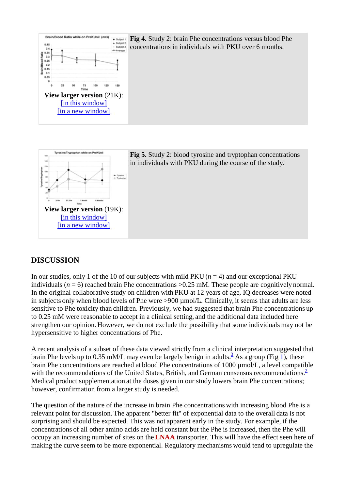

**Fig 4.** Study 2: brain Phe concentrations versus blood Phe concentrations in individuals with PKU over 6 months.



**Fig 5.** Study 2: blood tyrosine and tryptophan concentrations in individuals with PKU during the course of the study.

## **DISCUSSION**

In our studies, only 1 of the 10 of our subjects with mild PKU  $(n = 4)$  and our exceptional PKU individuals ( $n = 6$ ) reached brain Phe concentrations  $> 0.25$  mM. These people are cognitively normal. In the original collaborative study on children with PKU at 12 years of age, IQ decreases were noted in subjects only when blood levels of Phe were >900 µmol/L. Clinically, it seems that adults are less sensitive to Phe toxicity than children. Previously, we had suggested that brain Phe concentrations up to 0.25 mM were reasonable to accept in a clinical setting, and the additional data included here strengthen our opinion. However, we do not exclude the possibility that some individuals may not be hypersensitive to higher concentrations of Phe.

A recent analysis of a subset of these data viewed strictly from a clinical interpretation suggested that brain Phe levels up to 0.35 mM/L may even be largely benign in adults.<sup>3</sup> As a group (Fig 1), these brain Phe concentrations are reached at blood Phe concentrations of 1000 µmol/L, a level compatible with the recommendations of the United States, British, and German consensus recommendations. $\frac{2}{3}$ Medical product supplementation at the doses given in our study lowers brain Phe concentrations; however, confirmation from a larger study is needed.

The question of the nature of the increase in brain Phe concentrations with increasing blood Phe is a relevant point for discussion. The apparent "better fit" of exponential data to the overall data is not surprising and should be expected. This was not apparent early in the study. For example, if the concentrations of all other amino acids are held constant but the Phe is increased, then the Phe will occupy an increasing number of sites on the**LNAA** transporter. This will have the effect seen here of making the curve seem to be more exponential. Regulatory mechanisms would tend to upregulate the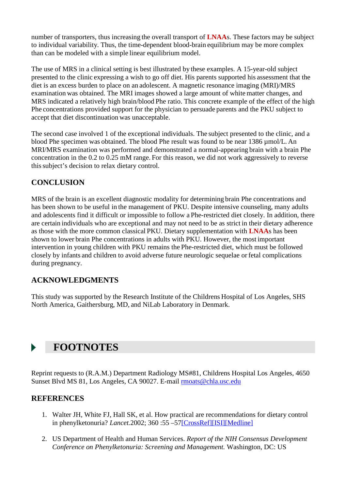number of transporters, thus increasing the overall transport of **LNAA**s. These factors may be subject to individual variability. Thus, the time-dependent blood-brain equilibrium may be more complex than can be modeled with a simple linear equilibrium model.

The use of MRS in a clinical setting is best illustrated by these examples. A 15-year-old subject presented to the clinic expressing a wish to go off diet. His parents supported his assessment that the diet is an excess burden to place on an adolescent. A magnetic resonance imaging (MRI)/MRS examination was obtained. The MRI images showed a large amount of white matter changes, and MRS indicated a relatively high brain/blood Phe ratio. This concrete example of the effect of the high Phe concentrations provided support for the physician to persuade parents and the PKU subject to accept that diet discontinuation was unacceptable.

The second case involved 1 of the exceptional individuals. The subject presented to the clinic, and a blood Phe specimen was obtained. The blood Phe result was found to be near 1386 µmol/L. An MRI/MRS examination was performed and demonstrated a normal-appearing brain with a brain Phe concentration in the 0.2 to 0.25 mM range. For this reason, we did not work aggressively to reverse thissubject's decision to relax dietary control.

# **CONCLUSION**

MRS of the brain is an excellent diagnostic modality for determining brain Phe concentrations and has been shown to be useful in the management of PKU. Despite intensive counseling, many adults and adolescents find it difficult or impossible to follow a Phe-restricted diet closely. In addition, there are certain individuals who are exceptional and may not need to be as strict in their dietary adherence as those with the more common classical PKU. Dietary supplementation with **LNAA**s has been shown to lower brain Phe concentrations in adults with PKU. However, the most important intervention in young children with PKU remains the Phe-restricted diet, which must be followed closely by infants and children to avoid adverse future neurologic sequelae or fetal complications during pregnancy.

# **ACKNOWLEDGMENTS**

This study was supported by the Research Institute of the Childrens Hospital of Los Angeles, SHS North America, Gaithersburg, MD, and NiLab Laboratory in Denmark.

# **FOOTNOTES**

Reprint requests to (R.A.M.) Department Radiology MS#81, Childrens Hospital Los Angeles, 4650 Sunset Blvd MS 81, Los Angeles, CA 90027. E-mail rmoats@chla.usc.edu

## **REFERENCES**

- 1. Walter JH, White FJ, Hall SK, et al. How practical are recommendations for dietary control in phenylketonuria? *Lancet.*2002; 360 :55 –57[CrossRef][ISI][Medline]
- 2. US Department of Health and Human Services. *Report of the NIH Consensus Development Conference on Phenylketonuria: Screening and Management.* Washington, DC: US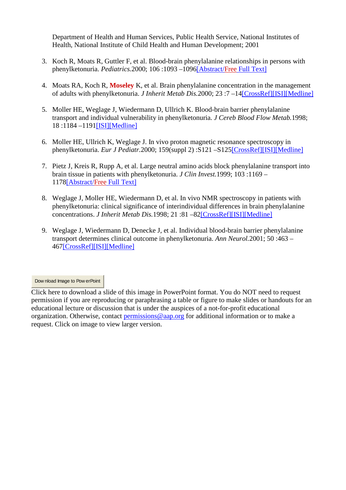Department of Health and Human Services, Public Health Service, National Institutes of Health, National Institute of Child Health and Human Development; 2001

- 3. Koch R, Moats R, Guttler F, et al. Blood-brain phenylalanine relationships in persons with phenylketonuria. *Pediatrics.*2000; 106 :1093 –1096[Abstract/Free Full Text]
- 4. Moats RA, Koch R, **Moseley** K, et al. Brain phenylalanine concentration in the management of adults with phenylketonuria. *J Inherit Metab Dis.*2000; 23 :7 –14[CrossRef][ISI][Medline]
- 5. Moller HE, Weglage J, Wiedermann D, Ullrich K. Blood-brain barrier phenylalanine transport and individual vulnerability in phenylketonuria. *J Cereb Blood Flow Metab.*1998; 18 :1184 –1191[ISI][Medline]
- 6. Moller HE, Ullrich K, Weglage J. In vivo proton magnetic resonance spectroscopy in phenylketonuria. *Eur J Pediatr.*2000; 159(suppl 2) :S121 –S125[CrossRef][ISI][Medline]
- 7. Pietz J, Kreis R, Rupp A, et al. Large neutral amino acids block phenylalanine transport into brain tissue in patients with phenylketonuria. *J Clin Invest.*1999; 103 :1169 – 1178[Abstract/Free Full Text]
- 8. Weglage J, Moller HE, Wiedermann D, et al. In vivo NMR spectroscopy in patients with phenylketonuria: clinical significance of interindividual differences in brain phenylalanine concentrations. *J Inherit Metab Dis.*1998; 21 :81 –82[CrossRef][ISI][Medline]
- 9. Weglage J, Wiedermann D, Denecke J, et al. Individual blood-brain barrier phenylalanine transport determines clinical outcome in phenylketonuria. *Ann Neurol.*2001; 50 :463 – 467[CrossRef][ISI][Medline]

Dow nload Image to Pow erPoint

Click here to download a slide of this image in PowerPoint format. You do NOT need to request permission if you are reproducing or paraphrasing a table or figure to make slides or handouts for an educational lecture or discussion that is under the auspices of a not-for-profit educational organization. Otherwise, contact permissions@aap.org for additional information or to make a request. Click on image to view larger version.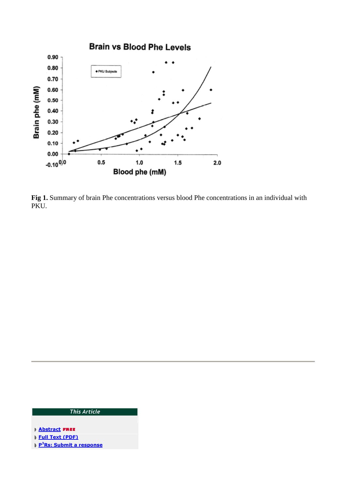

**Fig 1.** Summary of brain Phe concentrations versus blood Phe concentrations in an individual with PKU.

#### This Article

- **Abstract FREE**
- Full Text (PDF)
- P<sup>3</sup>Rs: Submit a response